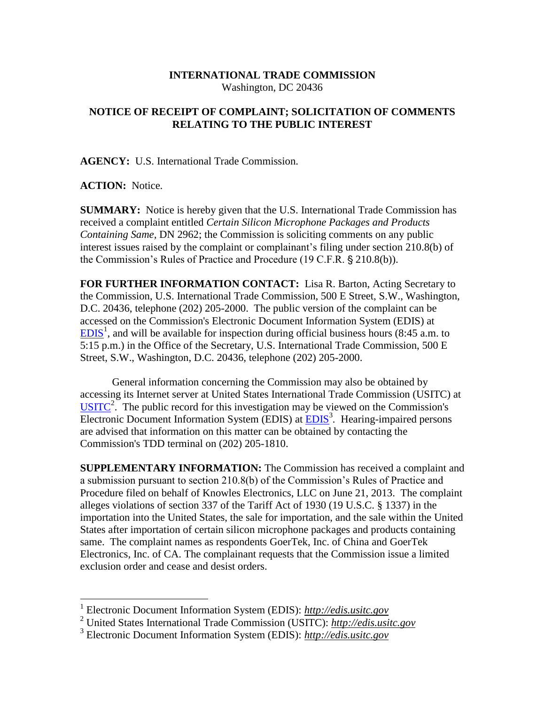## **INTERNATIONAL TRADE COMMISSION** Washington, DC 20436

## **NOTICE OF RECEIPT OF COMPLAINT; SOLICITATION OF COMMENTS RELATING TO THE PUBLIC INTEREST**

**AGENCY:** U.S. International Trade Commission.

## **ACTION:** Notice.

**SUMMARY:** Notice is hereby given that the U.S. International Trade Commission has received a complaint entitled *Certain Silicon Microphone Packages and Products Containing Same,* DN 2962; the Commission is soliciting comments on any public interest issues raised by the complaint or complainant's filing under section 210.8(b) of the Commission's Rules of Practice and Procedure (19 C.F.R. § 210.8(b)).

**FOR FURTHER INFORMATION CONTACT:** Lisa R. Barton, Acting Secretary to the Commission, U.S. International Trade Commission, 500 E Street, S.W., Washington, D.C. 20436, telephone (202) 205-2000. The public version of the complaint can be accessed on the Commission's Electronic Document Information System (EDIS) at  $EDIS<sup>1</sup>$  $EDIS<sup>1</sup>$ , and will be available for inspection during official business hours (8:45 a.m. to 5:15 p.m.) in the Office of the Secretary, U.S. International Trade Commission, 500 E Street, S.W., Washington, D.C. 20436, telephone (202) 205-2000.

General information concerning the Commission may also be obtained by accessing its Internet server at United States International Trade Commission (USITC) at  $\overline{USTTC}^2$ . The public record for this investigation may be viewed on the Commission's Electronic Document Information System (EDIS) at **EDIS**<sup>3</sup>. Hearing-impaired persons are advised that information on this matter can be obtained by contacting the Commission's TDD terminal on (202) 205-1810.

**SUPPLEMENTARY INFORMATION:** The Commission has received a complaint and a submission pursuant to section 210.8(b) of the Commission's Rules of Practice and Procedure filed on behalf of Knowles Electronics, LLC on June 21, 2013. The complaint alleges violations of section 337 of the Tariff Act of 1930 (19 U.S.C. § 1337) in the importation into the United States, the sale for importation, and the sale within the United States after importation of certain silicon microphone packages and products containing same. The complaint names as respondents GoerTek, Inc. of China and GoerTek Electronics, Inc. of CA. The complainant requests that the Commission issue a limited exclusion order and cease and desist orders.

 1 Electronic Document Information System (EDIS): *http://edis.usitc.gov*

<sup>2</sup> United States International Trade Commission (USITC): *http://edis.usitc.gov*

<sup>3</sup> Electronic Document Information System (EDIS): *http://edis.usitc.gov*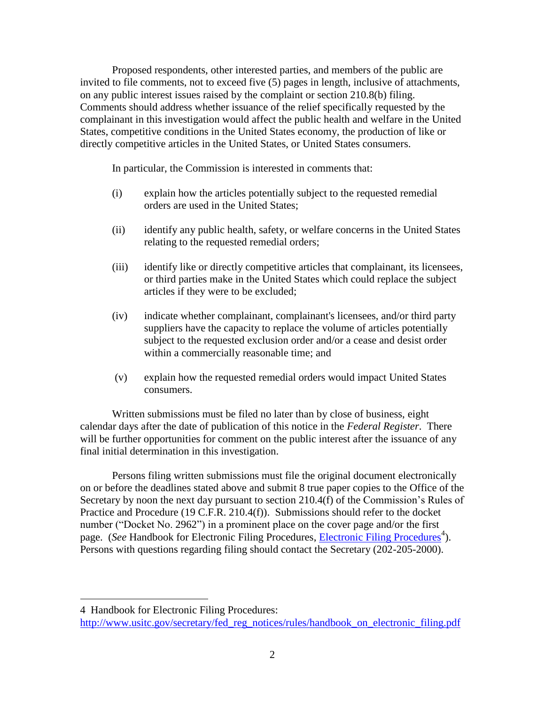Proposed respondents, other interested parties, and members of the public are invited to file comments, not to exceed five (5) pages in length, inclusive of attachments, on any public interest issues raised by the complaint or section 210.8(b) filing. Comments should address whether issuance of the relief specifically requested by the complainant in this investigation would affect the public health and welfare in the United States, competitive conditions in the United States economy, the production of like or directly competitive articles in the United States, or United States consumers.

In particular, the Commission is interested in comments that:

- (i) explain how the articles potentially subject to the requested remedial orders are used in the United States;
- (ii) identify any public health, safety, or welfare concerns in the United States relating to the requested remedial orders;
- (iii) identify like or directly competitive articles that complainant, its licensees, or third parties make in the United States which could replace the subject articles if they were to be excluded;
- (iv) indicate whether complainant, complainant's licensees, and/or third party suppliers have the capacity to replace the volume of articles potentially subject to the requested exclusion order and/or a cease and desist order within a commercially reasonable time; and
- (v) explain how the requested remedial orders would impact United States consumers.

Written submissions must be filed no later than by close of business, eight calendar days after the date of publication of this notice in the *Federal Register*. There will be further opportunities for comment on the public interest after the issuance of any final initial determination in this investigation.

Persons filing written submissions must file the original document electronically on or before the deadlines stated above and submit 8 true paper copies to the Office of the Secretary by noon the next day pursuant to section 210.4(f) of the Commission's Rules of Practice and Procedure (19 C.F.R. 210.4(f)). Submissions should refer to the docket number ("Docket No. 2962") in a prominent place on the cover page and/or the first page. (*See* Handbook for [Electronic Filing Procedures](http://www.usitc.gov/secretary/fed_reg_notices/rules/handbook_on_electronic_filing.pdf), *Electronic Filing Procedures*<sup>4</sup>). Persons with questions regarding filing should contact the Secretary (202-205-2000).

4 Handbook for Electronic Filing Procedures:

 $\overline{a}$ 

http://www.usitc.gov/secretary/fed\_reg\_notices/rules/handbook\_on\_electronic\_filing.pdf